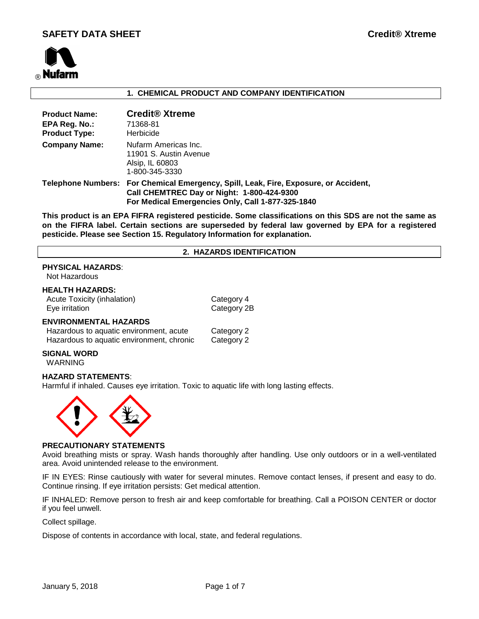

#### **1. CHEMICAL PRODUCT AND COMPANY IDENTIFICATION**

| <b>Product Name:</b><br>EPA Reg. No.:<br><b>Product Type:</b> | <b>Credit<sup>®</sup></b> Xtreme<br>71368-81<br><b>Herbicide</b>                                                                                                                        |
|---------------------------------------------------------------|-----------------------------------------------------------------------------------------------------------------------------------------------------------------------------------------|
| <b>Company Name:</b>                                          | Nufarm Americas Inc.<br>11901 S. Austin Avenue<br>Alsip, IL 60803<br>1-800-345-3330                                                                                                     |
|                                                               | Telephone Numbers: For Chemical Emergency, Spill, Leak, Fire, Exposure, or Accident,<br>Call CHEMTREC Day or Night: 1-800-424-9300<br>For Medical Emergencies Only, Call 1-877-325-1840 |

**This product is an EPA FIFRA registered pesticide. Some classifications on this SDS are not the same as on the FIFRA label. Certain sections are superseded by federal law governed by EPA for a registered pesticide. Please see Section 15. Regulatory Information for explanation.**

#### **2. HAZARDS IDENTIFICATION**

## **PHYSICAL HAZARDS**:

Not Hazardous

#### **HEALTH HAZARDS:**

Acute Toxicity (inhalation) Category 4 Eye irritation **Category 2B** 

#### **ENVIRONMENTAL HAZARDS**

| Hazardous to aquatic environment, acute   | Category 2 |
|-------------------------------------------|------------|
| Hazardous to aquatic environment, chronic | Category 2 |

# **SIGNAL WORD**

WARNING

#### **HAZARD STATEMENTS**:

Harmful if inhaled. Causes eye irritation. Toxic to aquatic life with long lasting effects.



#### **PRECAUTIONARY STATEMENTS**

Avoid breathing mists or spray. Wash hands thoroughly after handling. Use only outdoors or in a well-ventilated area. Avoid unintended release to the environment.

IF IN EYES: Rinse cautiously with water for several minutes. Remove contact lenses, if present and easy to do. Continue rinsing. If eye irritation persists: Get medical attention.

IF INHALED: Remove person to fresh air and keep comfortable for breathing. Call a POISON CENTER or doctor if you feel unwell.

Collect spillage.

Dispose of contents in accordance with local, state, and federal regulations.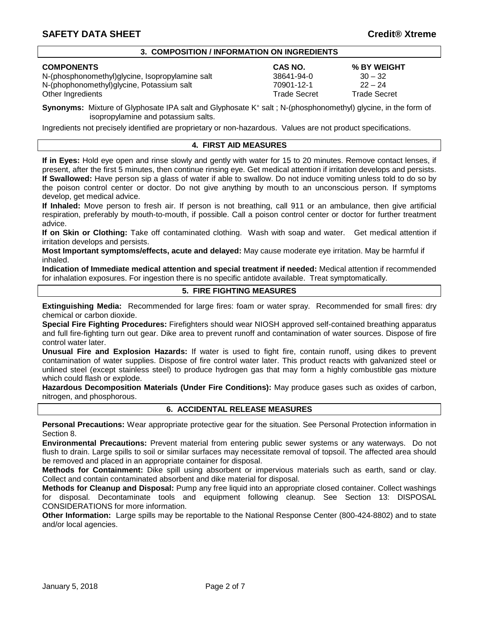#### **3. COMPOSITION / INFORMATION ON INGREDIENTS**

N-(phosphonomethyl)glycine, Isopropylamine salt 38641-94-0 30 – 32 N-(phophonomethyl)glycine, Potassium salt 70901-12-1 22 – 24<br>Other Ingredients 7nde Secret 7rade Secret 7rade Secret Other Ingredients

# **COMPONENTS CAS NO. % BY WEIGHT**

**Synonyms:** Mixture of Glyphosate IPA salt and Glyphosate K<sup>+</sup> salt ; N-(phosphonomethyl) glycine, in the form of isopropylamine and potassium salts.

Ingredients not precisely identified are proprietary or non-hazardous. Values are not product specifications.

#### **4. FIRST AID MEASURES**

**If in Eyes:** Hold eye open and rinse slowly and gently with water for 15 to 20 minutes. Remove contact lenses, if present, after the first 5 minutes, then continue rinsing eye. Get medical attention if irritation develops and persists. **If Swallowed:** Have person sip a glass of water if able to swallow. Do not induce vomiting unless told to do so by the poison control center or doctor. Do not give anything by mouth to an unconscious person. If symptoms develop, get medical advice.

**If Inhaled:** Move person to fresh air. If person is not breathing, call 911 or an ambulance, then give artificial respiration, preferably by mouth-to-mouth, if possible. Call a poison control center or doctor for further treatment advice.

**If on Skin or Clothing:** Take off contaminated clothing. Wash with soap and water. Get medical attention if irritation develops and persists.

**Most Important symptoms/effects, acute and delayed:** May cause moderate eye irritation. May be harmful if inhaled.

**Indication of Immediate medical attention and special treatment if needed:** Medical attention if recommended for inhalation exposures. For ingestion there is no specific antidote available. Treat symptomatically.

### **5. FIRE FIGHTING MEASURES**

**Extinguishing Media:** Recommended for large fires: foam or water spray. Recommended for small fires: dry chemical or carbon dioxide.

**Special Fire Fighting Procedures:** Firefighters should wear NIOSH approved self-contained breathing apparatus and full fire-fighting turn out gear. Dike area to prevent runoff and contamination of water sources. Dispose of fire control water later.

**Unusual Fire and Explosion Hazards:** If water is used to fight fire, contain runoff, using dikes to prevent contamination of water supplies. Dispose of fire control water later. This product reacts with galvanized steel or unlined steel (except stainless steel) to produce hydrogen gas that may form a highly combustible gas mixture which could flash or explode.

**Hazardous Decomposition Materials (Under Fire Conditions):** May produce gases such as oxides of carbon, nitrogen, and phosphorous.

#### **6. ACCIDENTAL RELEASE MEASURES**

**Personal Precautions:** Wear appropriate protective gear for the situation. See Personal Protection information in Section 8.

**Environmental Precautions:** Prevent material from entering public sewer systems or any waterways. Do not flush to drain. Large spills to soil or similar surfaces may necessitate removal of topsoil. The affected area should be removed and placed in an appropriate container for disposal.

**Methods for Containment:** Dike spill using absorbent or impervious materials such as earth, sand or clay. Collect and contain contaminated absorbent and dike material for disposal.

**Methods for Cleanup and Disposal:** Pump any free liquid into an appropriate closed container. Collect washings for disposal. Decontaminate tools and equipment following cleanup. See Section 13: DISPOSAL CONSIDERATIONS for more information.

**Other Information:** Large spills may be reportable to the National Response Center (800-424-8802) and to state and/or local agencies.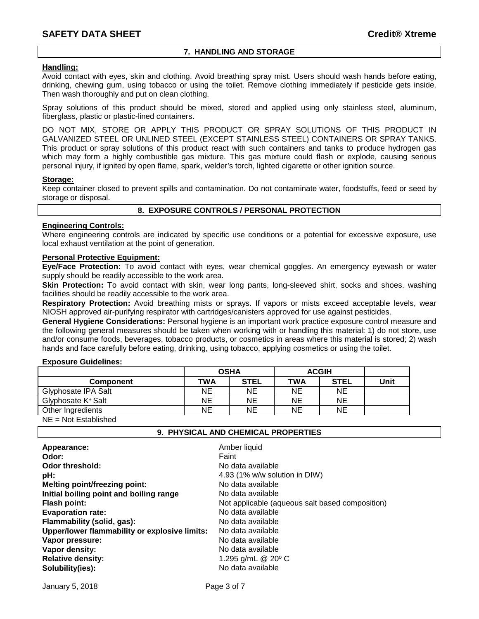#### **7. HANDLING AND STORAGE**

#### **Handling:**

Avoid contact with eyes, skin and clothing. Avoid breathing spray mist. Users should wash hands before eating, drinking, chewing gum, using tobacco or using the toilet. Remove clothing immediately if pesticide gets inside. Then wash thoroughly and put on clean clothing.

Spray solutions of this product should be mixed, stored and applied using only stainless steel, aluminum, fiberglass, plastic or plastic-lined containers.

DO NOT MIX, STORE OR APPLY THIS PRODUCT OR SPRAY SOLUTIONS OF THIS PRODUCT IN GALVANIZED STEEL OR UNLINED STEEL (EXCEPT STAINLESS STEEL) CONTAINERS OR SPRAY TANKS. This product or spray solutions of this product react with such containers and tanks to produce hydrogen gas which may form a highly combustible gas mixture. This gas mixture could flash or explode, causing serious personal injury, if ignited by open flame, spark, welder's torch, lighted cigarette or other ignition source.

#### **Storage:**

Keep container closed to prevent spills and contamination. Do not contaminate water, foodstuffs, feed or seed by storage or disposal.

#### **8. EXPOSURE CONTROLS / PERSONAL PROTECTION**

#### **Engineering Controls:**

Where engineering controls are indicated by specific use conditions or a potential for excessive exposure, use local exhaust ventilation at the point of generation.

#### **Personal Protective Equipment:**

**Eye/Face Protection:** To avoid contact with eyes, wear chemical goggles. An emergency eyewash or water supply should be readily accessible to the work area.

**Skin Protection:** To avoid contact with skin, wear long pants, long-sleeved shirt, socks and shoes. washing facilities should be readily accessible to the work area.

**Respiratory Protection:** Avoid breathing mists or sprays. If vapors or mists exceed acceptable levels, wear NIOSH approved air-purifying respirator with cartridges/canisters approved for use against pesticides.

**General Hygiene Considerations:** Personal hygiene is an important work practice exposure control measure and the following general measures should be taken when working with or handling this material: 1) do not store, use and/or consume foods, beverages, tobacco products, or cosmetics in areas where this material is stored; 2) wash hands and face carefully before eating, drinking, using tobacco, applying cosmetics or using the toilet.

#### **Exposure Guidelines:**

| <b>OSHA</b> |             | <b>ACGIH</b> |             |      |
|-------------|-------------|--------------|-------------|------|
| TWA         | <b>STEL</b> | <b>TWA</b>   | <b>STEL</b> | Unit |
| NΕ          | <b>NE</b>   | ΝE           | NE          |      |
| ΝE          | NE          | ΝE           | NE          |      |
| ΝE          | ΝE          | ΝE           | NE          |      |
|             |             |              |             |      |

NE = Not Established

#### **9. PHYSICAL AND CHEMICAL PROPERTIES**

| Appearance:<br>Odor:<br>Odor threshold:       | Amber liquid<br>Faint<br>No data available      |
|-----------------------------------------------|-------------------------------------------------|
| pH:                                           | 4.93 (1% w/w solution in DIW)                   |
| <b>Melting point/freezing point:</b>          | No data available                               |
| Initial boiling point and boiling range       | No data available                               |
| <b>Flash point:</b>                           | Not applicable (aqueous salt based composition) |
| <b>Evaporation rate:</b>                      | No data available                               |
| Flammability (solid, gas):                    | No data available                               |
| Upper/lower flammability or explosive limits: | No data available                               |
| Vapor pressure:                               | No data available                               |
| Vapor density:                                | No data available                               |
| <b>Relative density:</b>                      | 1.295 g/mL @ 20° C                              |
| Solubility(ies):                              | No data available                               |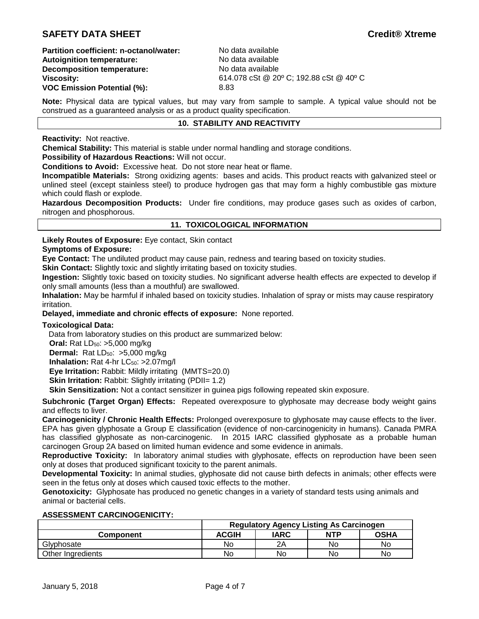# **SAFETY DATA SHEET Credit® Xtreme**

**Partition coefficient: n-octanol/water:** No data available<br> **Autoignition temperature:** No data available **Autoignition temperature:** No data available<br> **Decomposition temperature:** No data available **Decomposition temperature: VOC Emission Potential (%):** 8.83

**Viscosity:** 614.078 cSt @ 20º C; 192.88 cSt @ 40º C

**Note:** Physical data are typical values, but may vary from sample to sample. A typical value should not be construed as a guaranteed analysis or as a product quality specification.

### **10. STABILITY AND REACTIVITY**

**Reactivity:** Not reactive.

**Chemical Stability:** This material is stable under normal handling and storage conditions.

**Possibility of Hazardous Reactions:** Will not occur.

**Conditions to Avoid:** Excessive heat. Do not store near heat or flame.

**Incompatible Materials:** Strong oxidizing agents: bases and acids. This product reacts with galvanized steel or unlined steel (except stainless steel) to produce hydrogen gas that may form a highly combustible gas mixture which could flash or explode.

**Hazardous Decomposition Products:** Under fire conditions, may produce gases such as oxides of carbon, nitrogen and phosphorous.

#### **11. TOXICOLOGICAL INFORMATION**

**Likely Routes of Exposure:** Eye contact, Skin contact

#### **Symptoms of Exposure:**

**Eye Contact:** The undiluted product may cause pain, redness and tearing based on toxicity studies.

**Skin Contact:** Slightly toxic and slightly irritating based on toxicity studies.

**Ingestion:** Slightly toxic based on toxicity studies. No significant adverse health effects are expected to develop if only small amounts (less than a mouthful) are swallowed.

**Inhalation:** May be harmful if inhaled based on toxicity studies. Inhalation of spray or mists may cause respiratory irritation.

**Delayed, immediate and chronic effects of exposure:** None reported.

#### **Toxicological Data:**

Data from laboratory studies on this product are summarized below:

**Oral:** Rat LD<sub>50</sub>: >5,000 mg/kg

**Dermal:** Rat LD<sub>50</sub>: >5,000 mg/kg

**Inhalation:** Rat 4-hr LC<sub>50</sub>: >2.07mg/l

**Eye Irritation:** Rabbit: Mildly irritating (MMTS=20.0)

**Skin Irritation:** Rabbit: Slightly irritating (PDII= 1.2)

**Skin Sensitization:** Not a contact sensitizer in guinea pigs following repeated skin exposure.

**Subchronic (Target Organ) Effects:** Repeated overexposure to glyphosate may decrease body weight gains and effects to liver.

**Carcinogenicity / Chronic Health Effects:** Prolonged overexposure to glyphosate may cause effects to the liver. EPA has given glyphosate a Group E classification (evidence of non-carcinogenicity in humans). Canada PMRA has classified glyphosate as non-carcinogenic. In 2015 IARC classified glyphosate as a probable human carcinogen Group 2A based on limited human evidence and some evidence in animals.

**Reproductive Toxicity:** In laboratory animal studies with glyphosate, effects on reproduction have been seen only at doses that produced significant toxicity to the parent animals.

**Developmental Toxicity:** In animal studies, glyphosate did not cause birth defects in animals; other effects were seen in the fetus only at doses which caused toxic effects to the mother.

**Genotoxicity:** Glyphosate has produced no genetic changes in a variety of standard tests using animals and animal or bacterial cells.

#### **ASSESSMENT CARCINOGENICITY:**

|                   | <b>Regulatory Agency Listing As Carcinogen</b> |      |            |             |
|-------------------|------------------------------------------------|------|------------|-------------|
| Component         | <b>ACGIH</b>                                   | IARC | <b>NTP</b> | <b>OSHA</b> |
| Glyphosate        | No                                             | 2Α   | No         | No          |
| Other Ingredients | No                                             | No   | No         | No          |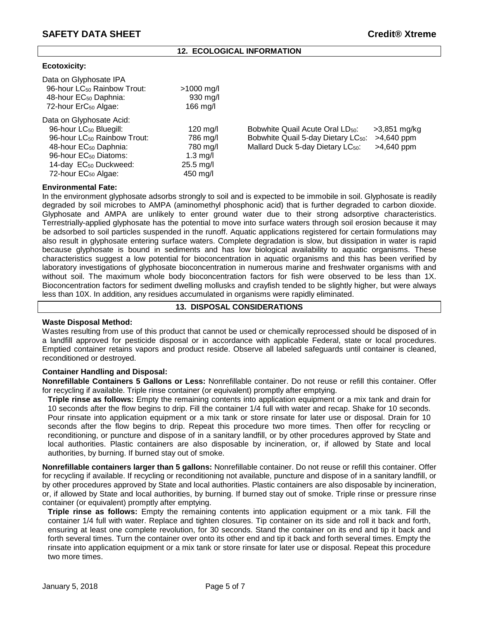#### **12. ECOLOGICAL INFORMATION**

#### **Ecotoxicity:**

| Data on Glyphosate IPA                  |                     |                                                 |              |
|-----------------------------------------|---------------------|-------------------------------------------------|--------------|
| 96-hour LC <sub>50</sub> Rainbow Trout: | $>1000$ mg/l        |                                                 |              |
| 48-hour EC <sub>50</sub> Daphnia:       | $930$ mg/l          |                                                 |              |
| 72-hour ErC <sub>50</sub> Algae:        | 166 mg/l            |                                                 |              |
| Data on Glyphosate Acid:                |                     |                                                 |              |
| 96-hour LC <sub>50</sub> Bluegill:      | $120 \text{ m}$ g/l | Bobwhite Quail Acute Oral LD <sub>50</sub> :    | >3,851 mg/kg |
| 96-hour LC <sub>50</sub> Rainbow Trout: | 786 mg/l            | Bobwhite Quail 5-day Dietary LC <sub>50</sub> : | $>4,640$ ppm |
| 48-hour EC <sub>50</sub> Daphnia:       | 780 mg/l            | Mallard Duck 5-day Dietary LC <sub>50</sub> :   | $>4,640$ ppm |
| 96-hour EC <sub>50</sub> Diatoms:       | 1.3 mg/l            |                                                 |              |
| 14-day EC <sub>50</sub> Duckweed:       | $25.5$ mg/l         |                                                 |              |
| 72-hour EC <sub>50</sub> Algae:         | 450 mg/l            |                                                 |              |
|                                         |                     |                                                 |              |

#### **Environmental Fate:**

In the environment glyphosate adsorbs strongly to soil and is expected to be immobile in soil. Glyphosate is readily degraded by soil microbes to AMPA (aminomethyl phosphonic acid) that is further degraded to carbon dioxide. Glyphosate and AMPA are unlikely to enter ground water due to their strong adsorptive characteristics. Terrestrially-applied glyphosate has the potential to move into surface waters through soil erosion because it may be adsorbed to soil particles suspended in the runoff. Aquatic applications registered for certain formulations may also result in glyphosate entering surface waters. Complete degradation is slow, but dissipation in water is rapid because glyphosate is bound in sediments and has low biological availability to aquatic organisms. These characteristics suggest a low potential for bioconcentration in aquatic organisms and this has been verified by laboratory investigations of glyphosate bioconcentration in numerous marine and freshwater organisms with and without soil. The maximum whole body bioconcentration factors for fish were observed to be less than 1X. Bioconcentration factors for sediment dwelling mollusks and crayfish tended to be slightly higher, but were always less than 10X. In addition, any residues accumulated in organisms were rapidly eliminated.

#### **13. DISPOSAL CONSIDERATIONS**

#### **Waste Disposal Method:**

Wastes resulting from use of this product that cannot be used or chemically reprocessed should be disposed of in a landfill approved for pesticide disposal or in accordance with applicable Federal, state or local procedures. Emptied container retains vapors and product reside. Observe all labeled safeguards until container is cleaned, reconditioned or destroyed.

#### **Container Handling and Disposal:**

**Nonrefillable Containers 5 Gallons or Less:** Nonrefillable container. Do not reuse or refill this container. Offer for recycling if available. Triple rinse container (or equivalent) promptly after emptying.

**Triple rinse as follows:** Empty the remaining contents into application equipment or a mix tank and drain for 10 seconds after the flow begins to drip. Fill the container 1/4 full with water and recap. Shake for 10 seconds. Pour rinsate into application equipment or a mix tank or store rinsate for later use or disposal. Drain for 10 seconds after the flow begins to drip. Repeat this procedure two more times. Then offer for recycling or reconditioning, or puncture and dispose of in a sanitary landfill, or by other procedures approved by State and local authorities. Plastic containers are also disposable by incineration, or, if allowed by State and local authorities, by burning. If burned stay out of smoke.

**Nonrefillable containers larger than 5 gallons:** Nonrefillable container. Do not reuse or refill this container. Offer for recycling if available. If recycling or reconditioning not available, puncture and dispose of in a sanitary landfill, or by other procedures approved by State and local authorities. Plastic containers are also disposable by incineration, or, if allowed by State and local authorities, by burning. If burned stay out of smoke. Triple rinse or pressure rinse container (or equivalent) promptly after emptying.

**Triple rinse as follows:** Empty the remaining contents into application equipment or a mix tank. Fill the container 1/4 full with water. Replace and tighten closures. Tip container on its side and roll it back and forth, ensuring at least one complete revolution, for 30 seconds. Stand the container on its end and tip it back and forth several times. Turn the container over onto its other end and tip it back and forth several times. Empty the rinsate into application equipment or a mix tank or store rinsate for later use or disposal. Repeat this procedure two more times.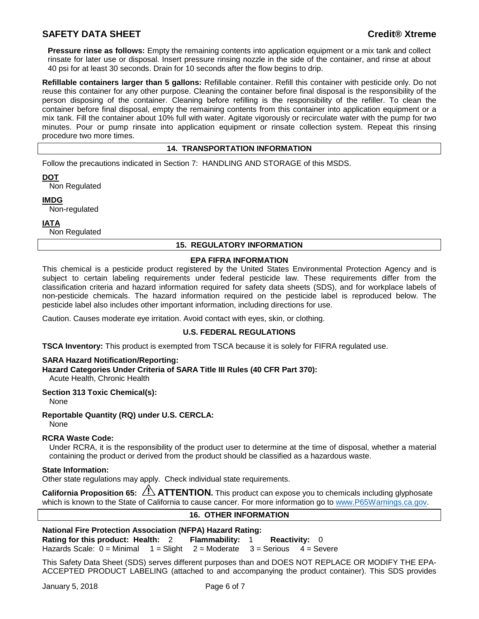# **SAFETY DATA SHEET Credit® Xtreme**

**Pressure rinse as follows:** Empty the remaining contents into application equipment or a mix tank and collect rinsate for later use or disposal. Insert pressure rinsing nozzle in the side of the container, and rinse at about 40 psi for at least 30 seconds. Drain for 10 seconds after the flow begins to drip.

**Refillable containers larger than 5 gallons:** Refillable container. Refill this container with pesticide only. Do not reuse this container for any other purpose. Cleaning the container before final disposal is the responsibility of the person disposing of the container. Cleaning before refilling is the responsibility of the refiller. To clean the container before final disposal, empty the remaining contents from this container into application equipment or a mix tank. Fill the container about 10% full with water. Agitate vigorously or recirculate water with the pump for two minutes. Pour or pump rinsate into application equipment or rinsate collection system. Repeat this rinsing procedure two more times.

#### **14. TRANSPORTATION INFORMATION**

Follow the precautions indicated in Section 7: HANDLING AND STORAGE of this MSDS.

**DOT**

Non Regulated

**IMDG**

Non-regulated

**IATA**

Non Regulated

#### **15. REGULATORY INFORMATION**

#### **EPA FIFRA INFORMATION**

This chemical is a pesticide product registered by the United States Environmental Protection Agency and is subject to certain labeling requirements under federal pesticide law. These requirements differ from the classification criteria and hazard information required for safety data sheets (SDS), and for workplace labels of non-pesticide chemicals. The hazard information required on the pesticide label is reproduced below. The pesticide label also includes other important information, including directions for use.

Caution. Causes moderate eye irritation. Avoid contact with eyes, skin, or clothing.

#### **U.S. FEDERAL REGULATIONS**

**TSCA Inventory:** This product is exempted from TSCA because it is solely for FIFRA regulated use.

#### **SARA Hazard Notification/Reporting:**

**Hazard Categories Under Criteria of SARA Title III Rules (40 CFR Part 370):**

Acute Health, Chronic Health

#### **Section 313 Toxic Chemical(s):**

None

#### **Reportable Quantity (RQ) under U.S. CERCLA:**

None

#### **RCRA Waste Code:**

Under RCRA, it is the responsibility of the product user to determine at the time of disposal, whether a material containing the product or derived from the product should be classified as a hazardous waste.

#### **State Information:**

Other state regulations may apply. Check individual state requirements.

**California Proposition 65: ATTENTION.** This product can expose you to chemicals including glyphosate which is known to the State of California to cause cancer. For more information go to [www.P65Warnings.ca.gov.](http://www.p65warnings.ca.gov/)

#### **16. OTHER INFORMATION**

| <b>National Fire Protection Association (NFPA) Hazard Rating:</b>                   |  |  |  |  |  |
|-------------------------------------------------------------------------------------|--|--|--|--|--|
| Rating for this product: Health: 2 Flammability: 1 Reactivity: 0                    |  |  |  |  |  |
| Hazards Scale: $0 =$ Minimal $1 =$ Slight $2 =$ Moderate $3 =$ Serious $4 =$ Severe |  |  |  |  |  |

This Safety Data Sheet (SDS) serves different purposes than and DOES NOT REPLACE OR MODIFY THE EPA-ACCEPTED PRODUCT LABELING (attached to and accompanying the product container). This SDS provides